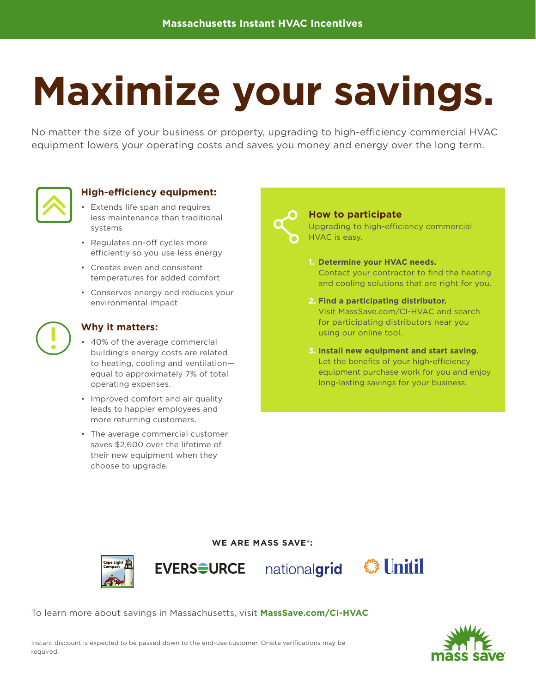# **Maximize your savings.**

No matter the size of your business or property, upgrading to high-efficiency commercial HVAC equipment lowers your operating costs and saves you money and energy over the long term.



#### **High-efficiency equipment:**

- Extends life span and requires less maintenance than traditional systems
- Regulates on-off cycles more efficiently so you use less energy
- Creates even and consistent temperatures for added comfort
- Conserves energy and reduces your environmental impact



#### **Why it matters:**

- 40% of the average commercial building's energy costs are related to heating, cooling and ventilation equal to approximately 7% of total operating expenses.
- Improved comfort and air quality leads to happier employees and more returning customers.
- The average commercial customer saves \$2,600 over the lifetime of their new equipment when they choose to upgrade.



#### **How to participate** Upgrading to high-efficiency commercial HVAC is easy.

- **1. Determine your HVAC needs.** Contact your contractor to find the heating and cooling solutions that are right for you.
- **2. Find a participating distributor.**  Visit MassSave.com/CI-HVAC and search for participating distributors near you using our online tool.
- **3. Install new equipment and start saving.** Let the benefits of your high-efficiency equipment purchase work for you and enjoy long-lasting savings for your business.

#### **WE ARE MASS SAVE®:**







To learn more about savings in Massachusetts, visit **MassSave.com/CI-HVAC**



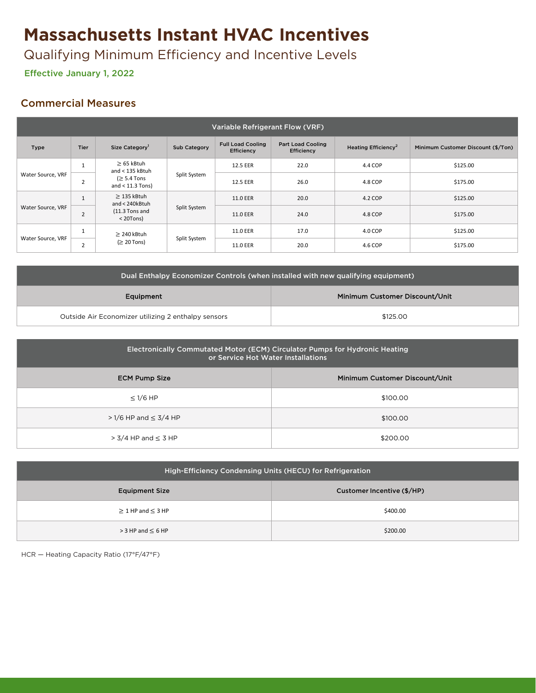# **Massachusetts Instant HVAC Incentives**

Qualifying Minimum Efficiency and Incentive Levels

Effective January 1, 2022 Effective January 1, 2022

## Commercial Measures

| <b>Variable Refrigerant Flow (VRF)</b> |             |                                                                               |              |                                               |                                               |                                 |                                    |
|----------------------------------------|-------------|-------------------------------------------------------------------------------|--------------|-----------------------------------------------|-----------------------------------------------|---------------------------------|------------------------------------|
| Type                                   | <b>Tier</b> | Size Category <sup>1</sup>                                                    | Sub Category | <b>Full Load Cooling</b><br><b>Efficiency</b> | <b>Part Load Cooling</b><br><b>Efficiency</b> | Heating Efficiency <sup>2</sup> | Minimum Customer Discount (\$/Ton) |
| Water Source, VRF                      | <b>L</b>    | $\geq$ 65 kBtuh<br>and $<$ 135 kBtuh<br>$\geq 5.4$ Tons<br>and $<$ 11.3 Tons) | Split System | 12.5 EER                                      | 22.0                                          | 4.4 COP                         | \$125.00                           |
|                                        | ∠           |                                                                               |              | 12.5 EER                                      | 26.0                                          | 4.8 COP                         | \$175.00                           |
| Water Source, VRF                      |             | $\geq$ 135 kBtuh<br>and < 240kBtuh<br>$(11.3$ Tons and<br>$<$ 20Tons)         | Split System | 11.0 EER                                      | 20.0                                          | 4.2 COP                         | \$125.00                           |
|                                        | 2           |                                                                               |              | 11.0 EER                                      | 24.0                                          | 4.8 COP                         | \$175.00                           |
| Water Source, VRF                      |             | $\geq$ 240 kBtuh<br>$(≥ 20$ Tons)                                             | Split System | 11.0 EER                                      | 17.0                                          | 4.0 COP                         | \$125.00                           |
|                                        | $\epsilon$  |                                                                               |              | 11.0 EER                                      | 20.0                                          | 4.6 COP                         | \$175.00                           |

| Dual Enthalpy Economizer Controls (when installed with new qualifying equipment) |                                |  |  |  |
|----------------------------------------------------------------------------------|--------------------------------|--|--|--|
| Equipment                                                                        | Minimum Customer Discount/Unit |  |  |  |
| Outside Air Economizer utilizing 2 enthalpy sensors                              | \$125.00                       |  |  |  |

| Electronically Commutated Motor (ECM) Circulator Pumps for Hydronic Heating<br>or Service Hot Water Installations |                                |  |  |  |
|-------------------------------------------------------------------------------------------------------------------|--------------------------------|--|--|--|
| <b>ECM Pump Size</b>                                                                                              | Minimum Customer Discount/Unit |  |  |  |
| $\leq$ 1/6 HP                                                                                                     | \$100.00                       |  |  |  |
| $>1/6$ HP and $\leq 3/4$ HP                                                                                       | \$100.00                       |  |  |  |
| $>$ 3/4 HP and $\leq$ 3 HP                                                                                        | \$200.00                       |  |  |  |

| High-Efficiency Condensing Units (HECU) for Refrigeration |                            |  |  |  |  |
|-----------------------------------------------------------|----------------------------|--|--|--|--|
| <b>Equipment Size</b>                                     | Customer Incentive (\$/HP) |  |  |  |  |
| $\geq$ 1 HP and $\leq$ 3 HP                               | \$400.00                   |  |  |  |  |
| $>$ 3 HP and $\leq$ 6 HP                                  | \$200.00                   |  |  |  |  |

HCR — Heating Capacity Ratio (17°F/47°F)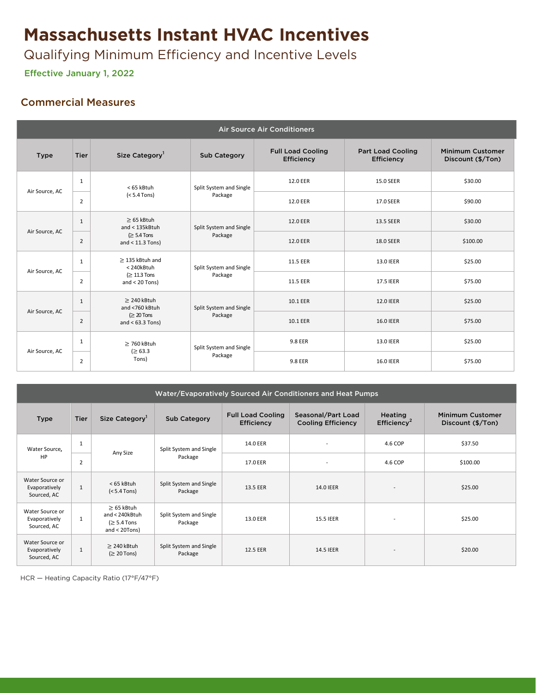# **Massachusetts Instant HVAC Incentives**

Qualifying Minimum Efficiency and Incentive Levels

Effective January 1, 2022 Effective January 1, 2022

## Commercial Measures

| <b>Air Source Air Conditioners</b> |                |                                                                            |                                    |                                        |                                        |                                              |
|------------------------------------|----------------|----------------------------------------------------------------------------|------------------------------------|----------------------------------------|----------------------------------------|----------------------------------------------|
| <b>Type</b>                        | Tier           | Size Category <sup>1</sup>                                                 | <b>Sub Category</b>                | <b>Full Load Cooling</b><br>Efficiency | <b>Part Load Cooling</b><br>Efficiency | <b>Minimum Customer</b><br>Discount (\$/Ton) |
|                                    | 1              | < 65 kBtuh                                                                 | Split System and Single<br>Package | 12.0 EER                               | 15.0 SEER                              | \$30.00                                      |
| Air Source, AC                     | $\overline{2}$ | $(5.4 Tons)$                                                               |                                    | 12.0 EER                               | 17.0 SEER                              | \$90.00                                      |
| Air Source, AC                     | 1              | $\geq 65$ kBtuh<br>and < 135kBtuh<br>$\geq 5.4$ Tons<br>and $<$ 11.3 Tons) | Split System and Single<br>Package | <b>12.0 EER</b>                        | 13.5 SEER                              | \$30.00                                      |
|                                    | $\overline{2}$ |                                                                            |                                    | 12.0 EER                               | 18.0 SEER                              | \$100.00                                     |
| Air Source, AC                     | 1              | $\geq$ 135 kBtuh and<br><240kBtuh<br>$(≥ 11.3$ Tons<br>and $<$ 20 Tons)    | Split System and Single<br>Package | 11.5 EER                               | 13.0 IEER                              | \$25.00                                      |
|                                    | 2              |                                                                            |                                    | 11.5 EER                               | 17.5 IEER                              | \$75.00                                      |
| Air Source, AC                     | 1              | $\geq$ 240 kBtuh<br>and <760 kBtuh                                         | Split System and Single<br>Package | 10.1 EER                               | <b>12.0 IEER</b>                       | \$25.00                                      |
|                                    | $\overline{2}$ | $\geq 20$ Tons<br>and $<$ 63.3 Tons)                                       |                                    | 10.1 EER                               | <b>16.0 IEER</b>                       | \$75.00                                      |
| Air Source, AC                     | $\mathbf{1}$   | $\geq$ 760 kBtuh                                                           | Split System and Single            | 9.8 EER                                | 13.0 IEER                              | \$25.00                                      |
|                                    | 2              | (≥ 63.3)<br>Tons)                                                          | Package                            | 9.8 EER                                | <b>16.0 IEER</b>                       | \$75.00                                      |

| Water/Evaporatively Sourced Air Conditioners and Heat Pumps |                |                                                                       |                                    |                                        |                                                 |                                           |                                              |
|-------------------------------------------------------------|----------------|-----------------------------------------------------------------------|------------------------------------|----------------------------------------|-------------------------------------------------|-------------------------------------------|----------------------------------------------|
| <b>Type</b>                                                 | <b>Tier</b>    | Size Category                                                         | <b>Sub Category</b>                | <b>Full Load Cooling</b><br>Efficiency | Seasonal/Part Load<br><b>Cooling Efficiency</b> | <b>Heating</b><br>Efficiency <sup>2</sup> | <b>Minimum Customer</b><br>Discount (\$/Ton) |
| Water Source,                                               | $\mathbf{1}$   |                                                                       | Split System and Single            | 14.0 EER                               |                                                 | 4.6 COP                                   | \$37.50                                      |
| HP                                                          | $\overline{2}$ | Any Size                                                              | Package                            | 17.0 EER                               | $\overline{\phantom{a}}$                        | 4.6 COP                                   | \$100.00                                     |
| Water Source or<br>Evaporatively<br>Sourced, AC             | $\mathbf{1}$   | < 65 kBtuh<br>$(5.4 Tons)$                                            | Split System and Single<br>Package | 13.5 EER                               | <b>14.0 IEER</b>                                | $\overline{\phantom{a}}$                  | \$25.00                                      |
| Water Source or<br>Evaporatively<br>Sourced, AC             | 1              | $\geq$ 65 kBtuh<br>and < 240kBtuh<br>$(≥ 5.4$ Tons<br>and $<$ 20Tons) | Split System and Single<br>Package | 13.0 EER                               | 15.5 IEER                                       | $\overline{\phantom{a}}$                  | \$25.00                                      |
| Water Source or<br>Evaporatively<br>Sourced, AC             | 1              | $\geq$ 240 kBtuh<br>$(≥ 20$ Tons)                                     | Split System and Single<br>Package | 12.5 EER                               | <b>14.5 IEER</b>                                | $\qquad \qquad \blacksquare$              | \$20.00                                      |

HCR — Heating Capacity Ratio (17°F/47°F)